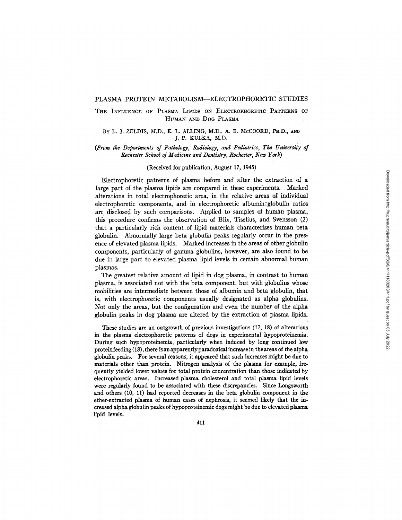## THE INFLUENCE OF PLASMA LIPIDS ON ELECTROPHORETIC PATTERNS OF HUMAN AND DOG PLASMA

## BY L. J. ZELDIS, M.D., E. L. ALLING, M.D., A. B. McCOORD, PH.D., AND J. P. KULKA, M.D.

## *(From the Departments of Pathology, Radiology, and Pediatrics, The Universiiy of Rochester School of Medicine and Dentistry, Rochester, New York)*

#### (Received for publication, August 17, 1945)

Electrophoretic patterns of plasma before and after the extraction of a large part of the plasma lipids are compared in these experiments. Marked alterations in total electrophoretic area, in the relative areas of individual electrophoretic components, and in electrophoretic albumin:globulin ratios are disclosed by such comparisons. Applied to samples of human plasma, this procedure confirms the observation of Blix, Tiselius, and Svensson (2) that a particularly rich content of lipid materials characterizes human beta globulin. Abnormally large beta globulin peaks regularly occur in the presence of elevated plasma lipids. Marked increases in the areas of other globulin components, particularly of gamma globulins, however, are also found to be due in large part to elevated plasma lipid levels in certain abnormal human plasmas.

The greatest relative amount of lipid in dog plasma, in contrast to human plasma, is associated not with the beta component, but with globulins whose mobilities are intermediate between those of albumin and beta globulin, that is, with electrophoretic components usually designated as alpha globulins. Not only the areas, but the configuration and even the number of the alpha globulin peaks in dog plasma are altered by the extraction of plasma lipids.

These studies are an outgrowth of previous investigations (17, 18) of alterations in the plasma electrophoretic patterns of dogs in experimental hypoproteinemla. During such hypoproteinemla, particularly when induced by long continued low proteinfeeding (18), there isanapparentlyparadoxical increase in theareas of the alpha globulin peaks. For several reasons, it appeared that such increases might be due to materials other than protein. Nitrogen analysis of the plasma for example, frequently yielded lower values for total protein concentration than those indicated by electrophoretic areas. Increased plasma cholesterol and total plasma lipid levels were regularly found to be associated with these discrepancies. Since Longsworth and others (10, 11) had reported decreases in the beta globulin component in the ether-extracted plasma of human cases of nephrosis, it seemed likely that the increased alpha globulin peaks of hypoproteinemic dogs might be due to elevated plasma lipid levels.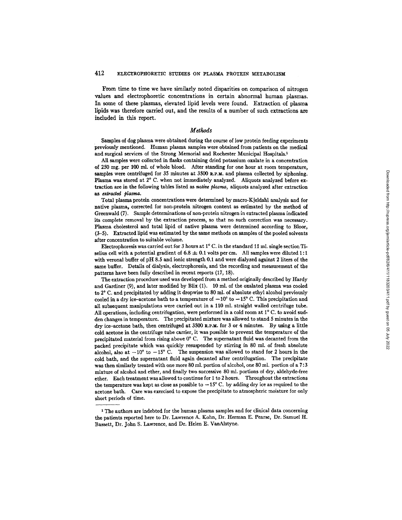From time to time we have similarly noted disparities on comparison of nitrogen values and electrophoretic concentrations in certain abnormal human plasmas. In some of these plasmas, elevated lipid levels were found. Extraction of plasma lipids was therefore carried out, and the results of a number of such extractions are included in this report.

# *Methods*

Samples of dog plasma were obtained during the course of low protein feeding experiments previously mentioned. Human plasma samples were obtained from patients on the medical and surgical services of the Strong Memorial and Rochester Municipal Hospitals. 1

All samples were collected in flasks containing dried potassium oxalate in a concentration of 250 rag. per 100 ml. of whole blood. After standing for one hour at room temperature, samples were centrifuged for  $35$  minutes at  $3500$  R.P.M. and plasma collected by siphoning. Plasma was stored at  $2^{\circ}$  C. when not immediately analyzed. Aliquots analyzed before extraction are in the following tables listed as *native plasma,* aliquots analyzed after extraction *extracted plasma.* 

Total plasma protein concentrations were determined by maero-Kjeldahl analysis and for native plasma, corrected for non-protein nitrogen content as estimated by the method of Greenwald (7). Sample determinations of non-protein nitrogen in extracted plasma indicated its complete removal by the extraction process, so that no such correction was necessary. Plasma cholesterol and total lipid of native plasma were determined according to Bloor, (3-5). Extracted lipid was estimated by the same methods on samples of the pooled solvents after concentration to suitable volume.

Electrophoresis was carried out for 3 hours at  $1^{\circ}$  C. in the standard 11 ml. single section Tiselius cell with a potential gradient of 6.8  $\pm$  0.1 volts per cm. All samples were diluted 1:1 with veronal buffer of pH 8.5 and ionic strength 0.1 and were dialyzed against 2 liters of the same buffer. Details of dialysis, electrophoresis, and the recording and measurement of the patterns have been fully described in recent reports (17, 18).

The extraction procedure used was developed from a method originally described by Hardy and Gardiner (9), and later modified by Blix (1). 10 ml. of the oxalated plasma was cooled to 2° C. and precipitated by adding it dropwise to 80 ml. of absolute ethyl alcohol previously cooled in a dry ice-acetone bath to a temperature of  $-10^{\circ}$  to  $-15^{\circ}$  C. This precipitation and all subsequent manipulations were carried out in a 110 ml. straight walled centrifuge tube. All operations, including centrifugation, were performed in a cold room at  $1^{\circ}$  C. to avoid sudden changes in temperature. The precipitated mixture was allowed to stand 5 minutes in the dry ice-acetone bath, then centrifuged at 3500 R.P.M. for 3 or 4 minutes. By using a little cold acetone in the centrifuge tube carrier, it was possible to prevent the temperature of the precipitated material from rising above  $0^{\circ}$  C. The supernatant fluid was decanted from the packed precipitate which was quickly resuspended by stirring in 80 ml. of fresh absolute alcohol, also at  $-10^{\circ}$  to  $-15^{\circ}$  C. The suspension was allowed to stand for 2 hours in the cold bath, and the supernatant fluid again decanted after centrifugation. The precipitate was then similarly treated with one more 80 ml. portion of alcohol, one 80 ml. portion of a 7:3 mixture of alcohol and ether, and finally two successive 80 ml. portions of dry, aldehyde-free ether. Each treatment was allowed to continue for I to 2 hours. Throughout the extractions the temperature was kept as close as possible to  $-15^{\circ}$  C. by adding dry ice as required to the acetone bath. Care was exercised to expose the precipitate to atmospheric moisture for only short periods of time.

<sup>1</sup> The authors are indebted for the human plasma samples and for clinical data concerning the patients reported here to Dr. Lawrence A. Kohn, Dr. Herman E. Pearse, Dr. Samuel H. Bassett, Dr. John S. Lawrence, and Dr. Helen E. VanAlstyne.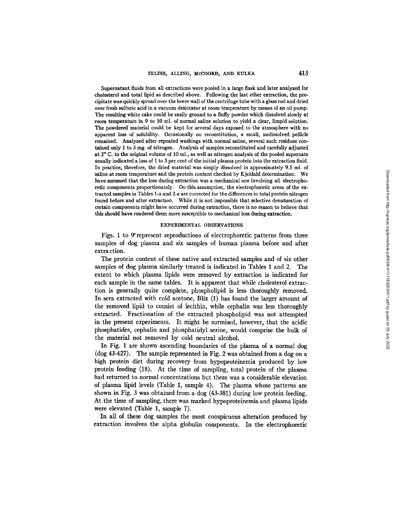Supernatant fluids from all extractions were pooled in a large flask and later analyzed for cholesterol and total lipid as described above. Following the last ether extraction, the precipitate was quickly spread over the lower wall of the centrifuge tube with a glass rod and dried over fresh sulfuric acid in a vacuum desiccator at room temperature by means of an oil pump. The resulting white cake could be easily ground to a fluffy powder which dissolved slowly at room temperature in 9 to 10 ml. of normal saline solution to yield a dear, limpid solution. The powdered material could be kept for several days exposed to the atmosphere with no apparent loss of solubility. Occasionally on reconstitution, a small, undissolved pellicle remained. Analyzed after repeated washings with normal saline, several such residues conrained only 1 to 3 mg. of nitrogen. Analysis of samples reconstituted and carefully **adjusted**  at 2° C. to the original volume of 10 ml., as well as nitrogen analysis of the pooled supernate usually indicated a loss of 1 to 5 per cent of the initial plasma protein into the extraction fluid. In practice, therefore, the dried material was simply dissolved in approximately 9.5 ml. of saline at room temperature and the protein content checked by Kjeldahl determination. We have assumed that the loss during extraction was a mechanical one involving all electrophoretic components proportionately. On this assumption, the electrophoretic areas of the extracted samples in Tables 1-a and 2-a are corrected for the differences in total protein nitrogen found before and after extraction. While it is not impossible that selective denaturation of certain components might have occurred during extraction, there is no reason to believe that this should have rendered them more susceptible to mechanical loss during extraction.

#### EXPERIMENTAL OBSERVATIONS

Figs. 1 to 9 represent reproductions of electrophoretic patterns from three samples of dog plasma and six samples of human plasma before and after extra ction.

The protein content of these native and extracted samples and of six other samples of dog plasma similarly treated is indicated in Tables 1 and 2. The extent to which plasma lipids were removed by extraction is indicated for each sample in the same tables. It is apparent that while cholesterol extraction is generally quite complete, phospholipid is less thoroughly removed. In sera extracted with cold acetone, Blix (I) has found the larger amount of the removed lipid to consist of lecithin, while cephalin was less thoroughly extracted. Fractionation of the extracted phospholipid was not attempted in the present experiments. It might be surmised, however, that the acidic phosphatides, cephalin and phosphatidyl serine, would comprise the bulk of the material not removed by cold neutral alcohol.

In Fig. I are shown ascending boundaries of the plasma of a normal dog (dog 43-427). The sample represented in Fig. 2 was obtained from a dog on a high protein diet during recovery from hypoproteinemia produced by low protein feeding (18). At the time of sampling, total protein of the plasma had returned to normal concentrations but there was a considerable elevation of plasma lipid levels (Table I, sample 4). The plasma whose patterns are shown in Fig. 3 was obtained from a dog (43-381) during low protein feeding. At the time of sampling, there was marked hypoproteinemia and plasma lipids were elevated (Table I, sample 7).

In all of these dog samples the most conspicuous alteration produced by extraction involves the alpha globulin components. In the electrophoretie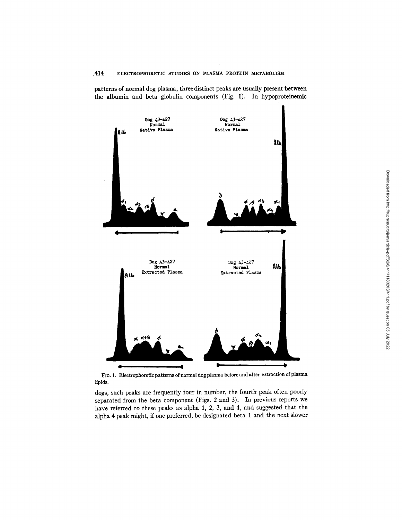patterns of normal dog plasma, three distinct peaks are usually present between the albumin and beta globulin components (Fig. 1). In hypoproteinemic



FIG. 1. Electrophoretic patterns of normal dog plasma before and after extraction of plasma lipids.

dogs, such peaks are frequently four in number, the fourth peak often poorly separated from the beta component (Figs. 2 and 3). In previous reports we have referred to these peaks as alpha 1, 2, 3, and 4, and suggested that the alpha 4 peak might, if one preferred, be designated beta 1 and the next slower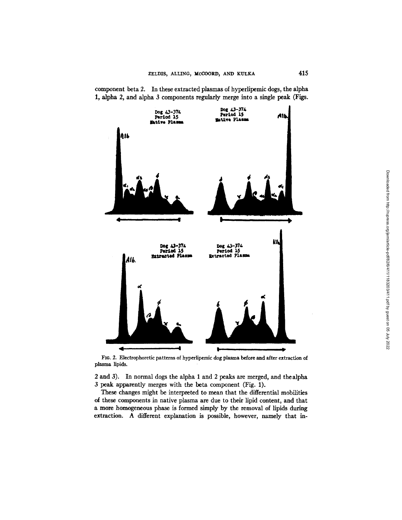component beta 2. In these extracted plasmas of hyperlipemic dogs, the alpha 1, alpha 2, and alpha 3 components regularly merge into a single peak (Figs.



FIo. 2. Electrophoretic patterns of hyperlipemic dog plasma before and after extraction of plasma lipids.

2 and 3). In normal dogs the alpha 1 and 2 peaks are merged, and the alpha 3 peak apparently merges with the beta component (Fig. 1).

These changes might be interpreted to mean that the differential mobilities of these components in native plasma are due to their Upid content, and that a more homogeneous phase is formed simply by the removal of lipids during extraction. A different explanation is possible, however, namely that in-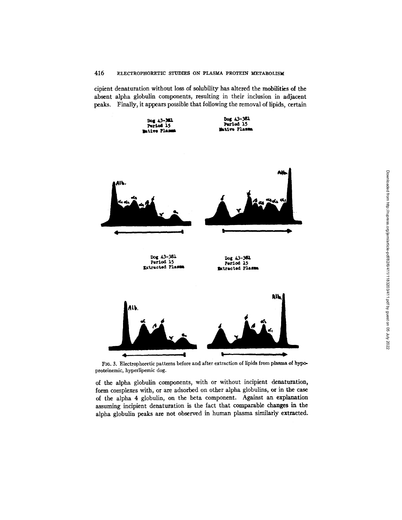cipient denaturation without loss of solubility has altered the mobilities of the absent alpha globulin components, resulting in their inclusion in adjacent peaks. Finally, it appears possible that following the removal of lipids, certain



FIG. 3. Electrophoretic patterns before and after extraction of lipids from plasma of hypoproteinemic, hyperlipemic dog.

of the alpha globulin components, with or without incipient denaturation, form complexes with, or are adsorbed on other alpha globulins, or in the case of the alpha 4 globulin, on the beta component. Against an explanation assuming incipient denaturation is the fact that comparable changes in the alpha globulin peaks are not observed in human plasma similarly extracted.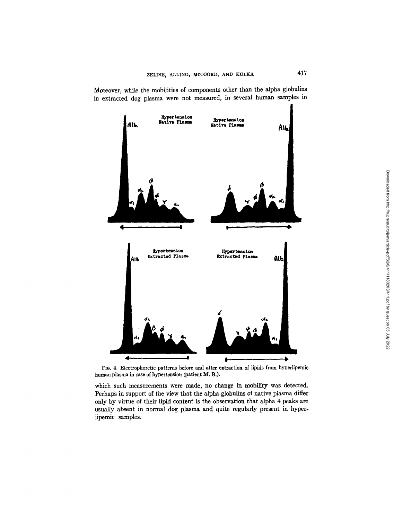Moreover, while the mobilities of components other than the alpha globulins in extracted dog plasma were not measured, in several human samples in



FIG. 4. Eiectrophoretic patterns before and after extraction of lipids from hyperlipemic human plasma in case of hypertension (patient M. B.).

which such measurements were made, no change in mobility was detected. Perhaps in support of the view that the alpha globulins of native plasma differ only by virtue of their lipid content is the observation that alpha 4 peaks are usually absent in normal dog plasma and quite regularly present in hyperlipemic samples.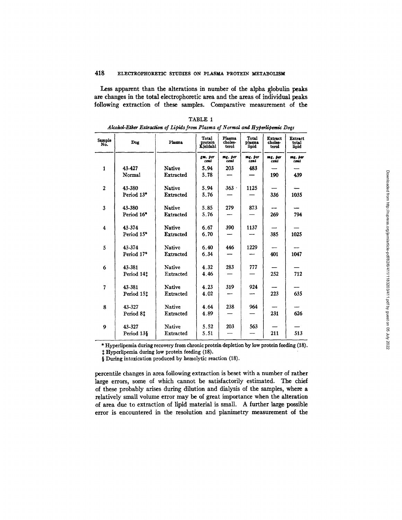Less apparent than the alterations in number of the alpha globulin peaks are changes in the total electrophoretic area and the areas of individual peaks following extraction of these samples. Comparative measurement of the

| Sample<br>No.  | Dog                    | Plasma        | Total<br>protein<br>Kjeldahl | Plasma<br>choles-<br>terol | Total<br>plasma<br>lipid | Extract<br>choles-<br>terol | <b>Extract</b><br>total<br>lipid |  |  |
|----------------|------------------------|---------------|------------------------------|----------------------------|--------------------------|-----------------------------|----------------------------------|--|--|
|                |                        |               | gm. per<br>cent              | mg. per<br>cent            | mg. per<br>cent          | $mg$ , per<br>cent          | mg. per<br>cent                  |  |  |
| $\mathbf{1}$   | 43-427                 | Native        | 5.94                         | 203                        | 483                      |                             |                                  |  |  |
|                | Normal                 | Extracted     | 5.78                         |                            |                          | 190                         | 439                              |  |  |
| $\overline{2}$ | 43-380                 | <b>Native</b> | 5.94                         | $363 -$                    | 1125                     |                             |                                  |  |  |
|                | Period 13*             | Extracted     | 5.76                         |                            |                          | 336                         | 1035                             |  |  |
| 3              | 43-380                 | <b>Native</b> | 5.85                         | 279                        | 873                      |                             |                                  |  |  |
|                | Period 16*             | Extracted     | 5.76                         |                            |                          | 269                         | 794                              |  |  |
| 4              | 43-374                 | <b>Native</b> | 6.67                         | 390                        | 1137                     |                             |                                  |  |  |
|                | Period 15*             | Extracted     | 6.70                         |                            |                          | 385                         | 1025                             |  |  |
| 5              | 43-374                 | Native        | 6.40                         | 446                        | 1229                     |                             |                                  |  |  |
|                | Period 17*             | Extracted     | 6.34                         |                            |                          | 401                         | 1047                             |  |  |
| 6              | 43-381                 | <b>Native</b> | 4.32                         | 283                        | 777                      |                             |                                  |  |  |
|                | Period 141             | Extracted     | 4.46                         |                            |                          | 252                         | 712                              |  |  |
| $\overline{7}$ | 43-381                 | <b>Native</b> | 4.23                         | 319                        | 924                      |                             |                                  |  |  |
|                | Period 15 <sup>t</sup> | Extracted     | 4.02                         |                            |                          | 223                         | 635                              |  |  |
| 8              | 43-327                 | <b>Native</b> | 4.64                         | 238                        | 964                      |                             |                                  |  |  |
|                | Period 81              | Extracted     | 4.89                         |                            |                          | 231                         | 626                              |  |  |
| 9              | 43-327                 | <b>Native</b> | 5.52                         | 203                        | 563                      |                             |                                  |  |  |
|                | Period 13§             | Extracted     | 5.51                         |                            |                          | 211                         | 513                              |  |  |

| TABLE 1                                                                        |  |  |  |  |  |  |  |  |  |  |
|--------------------------------------------------------------------------------|--|--|--|--|--|--|--|--|--|--|
| Alcohol-Ether Extraction of Lipids from Plasma of Normal and Hyperlipemic Dogs |  |  |  |  |  |  |  |  |  |  |

\* Hyperllpemia during recovery from chronic protein depletion by low protein feeding (18).

/; Hyperlipemia during low protein feeding (18).

§ During intoxication produced by hemolytic reaction (18).

percentile changes in area following extraction is beset with a number of rather large errors, some of which cannot be satisfactorily estimated. The chief of these probably arises during dilution and dialysis of the samples, where a relatively small volume error may be of great importance when the alteration of area due to extraction of lipid material is small. A further large possible error is encountered in the resolution and planimetry measurement of the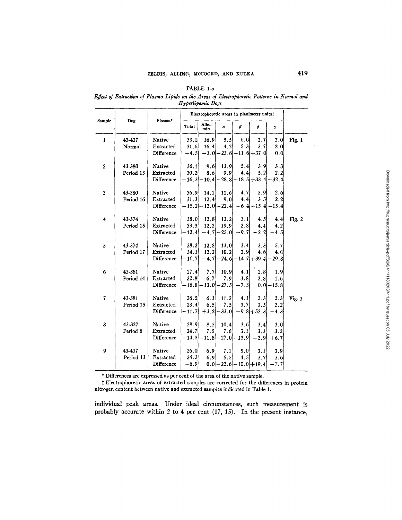#### TABLE 1-a

*Effect of Extraction of Plasma Lipids on the Areas of Electrophoretic Patterns in Normal and*  $H$ *yperlipemic Dogs* 

|                  | Dog                 | Plasma*                                  | Electrophoretic areas in planimeter units‡ |                        |                          |                                       |                              |                                    |          |
|------------------|---------------------|------------------------------------------|--------------------------------------------|------------------------|--------------------------|---------------------------------------|------------------------------|------------------------------------|----------|
| Sample           |                     |                                          | Total                                      | Albu-<br>min           | $\alpha$                 | β                                     | φ                            | γ                                  |          |
| $\mathbf{1}$     | 43-427<br>Normal    | Native<br>Extracted<br>Difference        | 33.1<br>31.6<br>$-4.5$                     | 16.9<br>16.4<br>$-3.0$ | 5.5<br>4.2               | 6.0<br>5.3<br>$-23.6$ $-11.6$ $+37.0$ | 2.7<br>3.7                   | 2.01<br>2.0<br>0, 0                | Fig. 1   |
| $\boldsymbol{2}$ | 43-380<br>Period 13 | Native<br><b>Extracted</b><br>Difference | 36.1<br>30.2<br>$-16.3$                    | 9.6<br>8.6<br>- 10.4   | 13.9<br>9.9<br>$-28.8$   | 5.4<br>4,4                            | 3.9<br>5.2<br>$-18.5 + 33.4$ | 3.3<br>2.2<br>- 32.4               |          |
| 3                | 43-380<br>Period 16 | Native<br>Extracted<br>Difference        | 36.9<br>31.3<br>- 15.21                    | 14.1<br>12.4<br>- 12.0 | 11.6<br>9.0<br>-22.4     | 4.7<br>4.4<br>$-6.4$                  | 3.9<br>3.3<br>$-15.4$        | 2.6 <sub>1</sub><br>2.2<br>$-15.4$ |          |
| 4                | 43-374<br>Period 15 | Native<br>Extracted<br>Difference        | 38.0<br>33.3<br>$-12.4$                    | 12.8<br>12.2<br>$-4.7$ | 13.2<br>19.9<br>$-25.0$  | 3.1<br>2.8<br>$-9.7$                  | 4.5<br>4.4<br>-2.2           | 4.4<br>4.2<br>-4.5                 | Fig. $2$ |
| 5                | 43-374<br>Period 17 | Native<br>Extracted<br>Difference        | 38.2<br>34.1<br>$-10.7$                    | 12.8<br>12.2<br>$-4.7$ | 13.0<br>10.2<br>$-24.6$  | 3.4<br>2.9                            | 3.3<br>4.6<br>$-14.7 + 39.4$ | 5.7<br>4.c<br>$-29.8$              |          |
| 6                | 43-381<br>Period 14 | Native<br>Extracted<br>Difference        | 27.4<br>22.8<br>-16.8                      | 7.7<br>6.7<br>$-13.0$  | 10.9<br>7.9<br>$-27.5$   | 4.1<br>3.8<br>-7.31                   | 2.8<br>2.8<br>0.0            | 1.9<br>1.6<br>$-15.8$              |          |
| 7                | 43-381<br>Period 15 | Native<br>Extracted<br>Difference        | 26.5<br>23.4<br>$-11.7$                    | 6.3<br>6.5<br>$+3.2$   | 11.2<br>7.5<br>- 33 . Ol | 4.1<br>3, 7                           | 2.3<br>3.5<br>$-9.8 + 52.3$  | 2.3<br>2.2<br>$-4.3$               | Fig. $3$ |
| 8                | 43-327<br>Period 8  | Native<br>Extracted<br>Difference        | 28.9<br>24.7<br>$-14.5$                    | 8.5<br>7.5<br>$-11.8$  | 10.4<br>7.6<br>$-27.0$   | 3.6<br>3.1<br>$-13.9$                 | 3.4<br>3.3<br>-2.91          | 3.0<br>3.2<br>$+6.7$               |          |
| 9                | 43-437<br>Period 13 | Native<br>Extracted<br>Difference        | 26.0<br>24.2<br>-6.9                       | 6.9<br>6.9<br>0.0      | 7.1<br>5.5<br>- 22.6     | 5,0<br>4.5                            | 3.1<br>3.7<br>- 10.0 + 19.4  | 3.9<br>3.6<br>7.7                  |          |

\* Differences are expressed as per cent of the area of the native sample.

‡ Electrophoretic areas of extracted samples are corrected for the differences in protein nitrogen content between native and extracted samples indicated in Table 1.

individual peak areas. Under ideal circumstances, such measurement is probably accurate within 2 to 4 per cent (17, 15). In the present instance,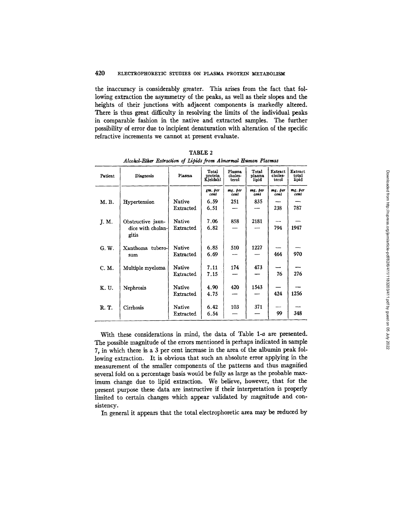the inaccuracy is considerably greater. This arises from the fact that following extraction the asymmetry of the peaks, as well as their slopes and the heights of their junctions with adjacent components is markedly altered. There is thus great difficulty in resolving the limits of the individual peaks in comparable fashion in the native and extracted samples. The further possibility of error due to incipient denaturation with alteration of the specific refractive increments we cannot at present evaluate.

| Patient | Diagnosis                  | Plasma    | Total<br>protein<br>Kjeldahl | Plasma<br>choles-<br>terol | Total<br>plasma<br>lipid | Extract<br>choles-<br>terol | Extract<br>total<br>lipid |
|---------|----------------------------|-----------|------------------------------|----------------------------|--------------------------|-----------------------------|---------------------------|
|         |                            |           | gm. per<br>cent              | mg. per<br>cent            | mg. per<br>cent          | mg. per<br>cent             | mg. per<br>cent           |
| M. B.   | Hypertension               | Native    | 6.59                         | 251                        | 835                      | ----                        |                           |
|         |                            | Extracted | 6.51                         |                            |                          | 238                         | 787                       |
| J. M.   | Obstructive jaun-          | Native    | 7.06                         | 858                        | 2181                     |                             |                           |
|         | dice with cholan-<br>gitis | Extracted | 6.82                         |                            |                          | 794                         | 1947                      |
| G. W.   | Xanthoma tubero-           | Native    | 6.85                         | 510                        | 1227                     |                             |                           |
|         | sum                        | Extracted | 6.69                         |                            |                          | 464                         | 970                       |
| C. M.   | Multiple myeloma           | Native    | 7.11                         | 174                        | 473                      |                             |                           |
|         |                            | Extracted | 7.15                         |                            |                          | 76                          | 276                       |
| K. U.   | Nephrosis                  | Native    | 4.90                         | 420                        | 1543                     |                             |                           |
|         |                            | Extracted | 4.75                         |                            |                          | 424                         | 1256                      |
| R. T.   | Cirrhosis                  | Native    | 6.42                         | 103                        | 371                      |                             |                           |
|         |                            | Extracted | 6.54                         |                            |                          | 99                          | 348                       |

TABLE 2 *Alcokol-F\_~her Exlraction of Lipids from Abnormal Human Plasmaz* 

With these considerations in mind, the data of Table 1-a are presented. The possible magnitude of the errors mentioned is perhaps indicated in sample 7, in which there is a 3 per cent increase in the area of the albumin peak following extraction. It is obvious that such an absolute error applying in the measurement of the smaller components of the patterns and thus magnified several fold on a percentage basis would be fully as large as the probable maximum change due to lipid extraction. We believe, however, that for the present purpose these data are instructive if their interpretation is properly limited to certain changes which appear validated by magnitude and consistency.

In general it appears that the total electrophoretic area may be reduced by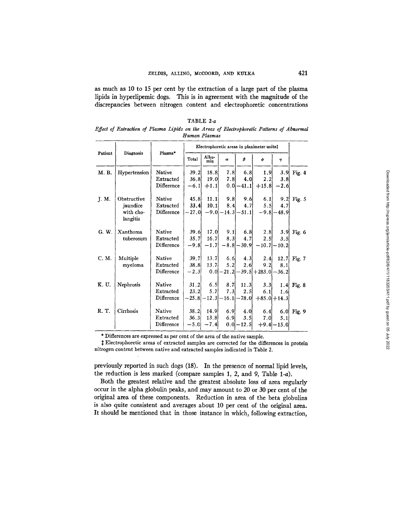as much as 10 to 15 per cent by the extraction of a large part of the plasma lipids in hyperlipemic dogs. This is in agreement with the magnitude of the discrepancies between nitrogen content and electrophoretic concentrations

| TABLE $2-a$ |  |  |  |  |  |  |               |  |                                                                                            |  |  |  |
|-------------|--|--|--|--|--|--|---------------|--|--------------------------------------------------------------------------------------------|--|--|--|
|             |  |  |  |  |  |  |               |  | Effect of Extraction of Plasma Lipids on the Areas of Electrophoretic Patterns of Abnormal |  |  |  |
|             |  |  |  |  |  |  | Human Plasmas |  |                                                                                            |  |  |  |

|         | Diagnosis             |            | Electrophoretic areas in planimeter units! |              |                    |               |                        |                  |          |  |
|---------|-----------------------|------------|--------------------------------------------|--------------|--------------------|---------------|------------------------|------------------|----------|--|
| Patient |                       | Plasma*    | Total                                      | Albu-<br>min | α                  | β             | φ                      | $\gamma$         |          |  |
| M. B.   | Hypertension          | Native     | 39.2                                       | 18.8         | 7.8                | 6.8           | 1.9                    | 3.9              | Fig. $4$ |  |
|         |                       | Extracted  | 36.8                                       | 19.0         | 7.8                | 4.0           | 2.2                    | 3.8              |          |  |
|         |                       | Difference | $-6.1$                                     | $+1.1$       |                    | $0.0 - 41.1$  | $+15.8$                | $-2.6$           |          |  |
| J. M.   | Obstructive           | Native     | 45.8                                       | 11.1         | 9.8                | 9.6           | 6.1                    | 9.2              | Fig. $5$ |  |
|         | jaundice              | Extracted  | 33.4                                       | 10.1         | 8.4                | 4.7           | 5.5                    | 4.7              |          |  |
|         | with cho-<br>langitis | Difference | $-27.0$                                    |              | $-9.0[-14.3]-51.1$ |               | $-9.8$                 | $-48.9$          |          |  |
|         |                       |            |                                            |              |                    |               |                        |                  |          |  |
| G. W.   | Xanthoma              | Native     | 39.6                                       | 17.0         | 9.1                | 6.8           | 2.8                    | 3.9              | Fig. 6   |  |
|         | tuberosum             | Extracted  | 35.7                                       | 16.7         | 8.3                | $-4.7$        | 2.5 <sub>1</sub>       | 3.5              |          |  |
|         |                       | Difference | $-9.8$                                     | $-1.7$       |                    | $-8.8 - 30.9$ | $-10.7$                | $-10.2$          |          |  |
| C. M.   | Multiple              | Native     | 39.7                                       | 13.7         | 6.6                | 4.3           | 2.4                    | 12.7             | Fig. $7$ |  |
|         | myeloma               | Extracted  | 38.8                                       | 13.7         | 5.2                | 2.6           | 9.2                    | 8.1              |          |  |
|         |                       | Difference | $-2.3$                                     | 0.0          | 21.2               |               | $-39.5 + 283.0 - 36.2$ |                  |          |  |
| K. U.   | Nephrosis             | Native     | 31.2                                       | 6.5          | 8.7                | 11.3          | 3.3                    | 1.4 <sub>l</sub> | Fig. 8   |  |
|         |                       | Extracted  | 23.2                                       | 5.7          | 7.3                | 2.5           | 6.1                    | 1.6              |          |  |
|         |                       | Difference | –25.81                                     | -12.3        | -16.1              | $-78.0$       |                        | $+85.0 + 14.3$   |          |  |
| R. T.   | Cirrhosis             | Native     | 38.2                                       | 14.9         | 6, 9               | 4.0           | 6.4                    | 6.0              | Fig. 9   |  |
|         |                       | Extracted  | 36.3                                       | 13.8         | 6.9                | 3.5           | 7.0                    | 5.1              |          |  |
|         |                       | Difference | $-5.0$                                     | $-7.4$       |                    | $0.0 - 12.5$  |                        | $+9.4 - 15.0$    |          |  |

\* Differences are expressed as per cent of the area of the native sample.

 $\ddagger$  Electrophoretic areas of extracted samples are corrected for the differences in protein nitrogen content between native and extracted samples indicated in Table 2.

previously reported in such dogs (18). In the presence of normal lipid levels, the reduction is less marked (compare samples  $1, 2$ , and  $9$ , Table  $1-a$ ).

Both the greatest relative and the greatest absolute loss of area regularly occur in the alpha globulin peaks, and may amount to 20 or 30 per cent of the original area of these components. Reduction in area of the beta globulins is also quite consistent and averages about 10 per cent of the original area. It should be mentioned that in those instance in which, following extraction,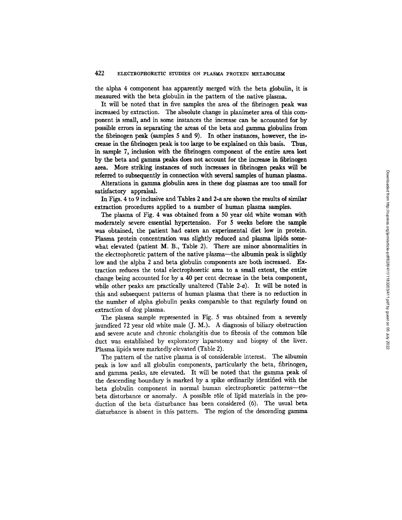the alpha 4 component has apparently merged with the beta globulin, it is measured with the beta globulin in the pattern of the native plasma.

It will be noted that in five samples the area of the fibrinogen peak was increased by extraction. The absolute change in planimeter area of this component is snell, and in some instances the increase can be accounted for by possible errors in separating the areas of the beta and gamma globulins from the fibrinogen peak (samples 5 and 9). In other instances, however, the increase in the fibrinogen peak is too large to be explained on this basis. Thus, in sample 7, inclusion with the fibrinogen component of the entire area lost by the beta and gamma peaks does not account for the increase in fibrinogen area. More striking instances of such increases in fibrinogen peaks will be referred to subsequently in connection with several samples of human plasma.

Alterations in gamma globulin area in these dog plasmas are too small for satisfactory appraisal.

In Figs. 4 to 9 inclusive and Tables 2 and 2-a are shown the results of similar extraction procedures applied to a number of human plasma samples.

The plasma of Fig. 4 was obtained from a 50 year old white woman with moderately severe essential hypertension. For 5 weeks before the sample was obtained, the patient had eaten an experimental diet low in protein. Plasma protein concentration was slightly reduced and plasma lipids somewhat elevated (patient M. B., Table 2). There are minor abnormalities in the electrophoretic pattern of the native plasma--the albumin peak is slightly low and the alpha 2 and beta globulin components are both increased. Extraction reduces the total electrophoretic area to a small extent, the entire change being accounted for by a 40 per cent decrease in the beta component, while other peaks are practically unaltered (Table 2-a). It will be noted in this and subsequent patterns of human plasma that there is no reduction in the number of alpha globulin peaks comparable to that regularly found on extraction of dog plasma.

The plasma sample represented in Fig. 5 was obtained from a severely jaundiced 72 year old white male (J. M.). A diagnosis of biliary obstruction and severe acute and chronic cholangitis due to fibrosis of the common bile duct was established by exploratory laparotomy and biopsy of the liver. Plasma lipids were markedly elevated (Table 2).

The pattern of the native plasma is of considerable interest. The albumin peak is low and all globulin components, particularly the beta, fibrinogen, and gamma peaks, are elevated. It will be noted that the gamma peak of the descending boundary is marked by a spike ordinarily identified with the beta globulin component in normal human electrophoretic patterns--the beta disturbance or anomaly. A possible rôle of lipid materials in the production of the beta disturbance has been considered (6). The usual beta disturbance is absent in this pattern. The region of the descending gamma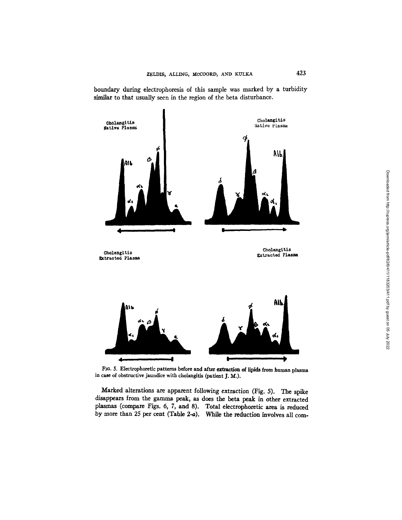

boundary during electrophoresis of this sample was marked by a turbidity similar to that usually seen in the region of the beta disturbance.

FIo. 5. Electrophoretic patterns before and after extraction of lipids from human plasma in case of obstructive jaundice with cholangitis (patient J. M.).

Marked alterations are apparent following extraction (Fig. 5). The spike disappears from the gamma peak, as does the beta peak in other extracted plasmas (compare Figs. 6, 7, and 8). Total electrophoretic area is reduced by more than 25 per cent (Table 2-a). While the reduction involves all com-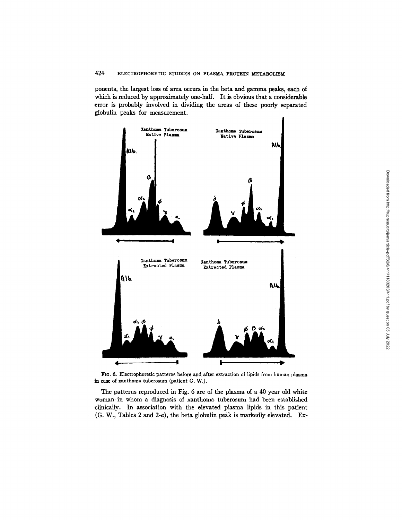ponents, the largest loss of area occurs in the beta and gamma peaks, each of which is reduced by approximately one-half. It is obvious that a considerable error is probably involved in dividing the areas of these poorly separated globulin peaks for measurement.



FIo. 6. Electrophoretic patterns before and after extraction of lipids from human plasma in case of xanthoma tuberosum (patient G. W.).

The patterns reproduced in Fig. 6 are of the plasma of a 40 year old white woman in whom a diagnosis of xanthoma tuberosum had been established clinically. In association with the elevated plasma lipids in this patient (G. W., Tables 2 and 2-a), the beta globulin peak is markedly elevated. Ex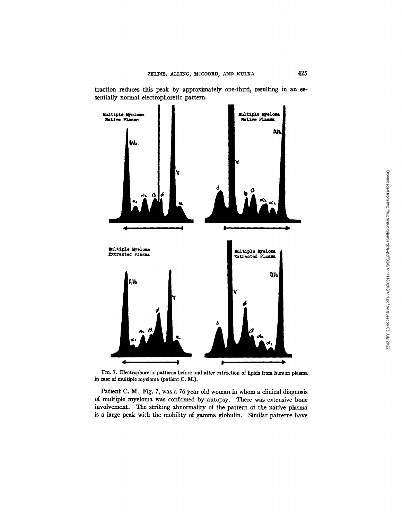traction reduces this peak by approximately one-third, resulting in an essentiaUy normal electrophoretic pattern.



FIG. 7. Electrophoretic patterns before and after extraction of lipids from human plasma in case of multiple myeloma (patient C. M.).

Patient C. M., Fig. 7, was a 76 year old woman in whom a clinical diagnosis of multiple myeloma was confirmed by autopsy. There was extensive bone involvement. The striking abnormality of the pattern of the native plasma is a large Peak with the mobility of gamma globulin. Similar patterns have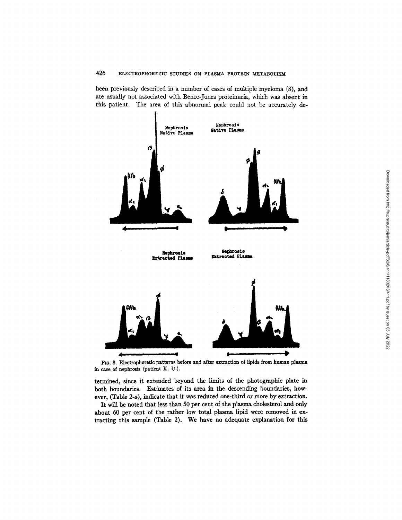been previously described in a number of cases of multiple myeloma (8), and are usually not associated with Bence-Jones proteinuria, which was absent in this patient. The area of this abnormal peak could not be accurately de-



FIo. 8. Electrophoretic patterns before and after extraction of lipids from human plasma in case of nephrosis (patient K. U.).

termined, since it extended beyond the limits of the photographic plate in both boundaries. Estimates of its area in the descending boundaries, however, (Table 2-a), indicate that it was reduced one-third or more by extraction.

It will be noted that less than 50 per cent of the plasma cholesterol and only about 60 per cent of the rather low total plasma lipid were removed in extracting this sample (Table 2). We have no adequate explanation for this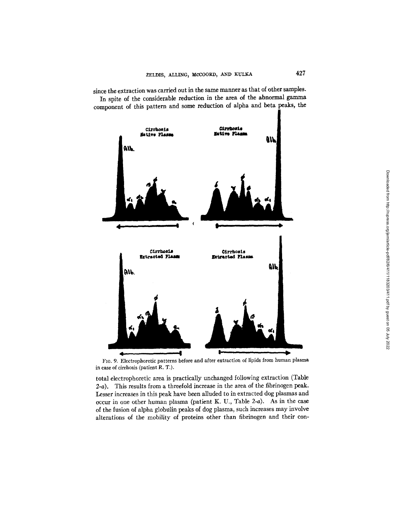

since the extraction was carried out in the same manner as that of other samples. In spite of the considerable reduction in the area of the abnormal gamma component of this pattern and some reduction of alpha and beta peaks, the

FIG. 9. Electrophoretic patterns before and after extraction of lipids from human plasma in case of cirrhosis (patient R. T.).

total electrophoretic area is practically unchanged following extraction (Table 2-a). This results from a threefold increase in the area of the fibrinogen peak. Lesser increases in this peak have been alluded to in extracted dog plasmas and occur in one other human plasma (patient K. U., Table 2-a). As in the case of the fusion of alpha globulin peaks of dog plasma, such increases may involve alterations of the mobility of proteins other than fibrinogen and their con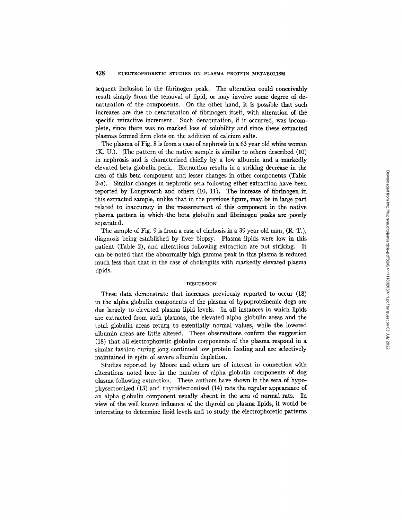sequent inclusion in the fibrinogen peak. The alteration could conceivably result simply from the removal of lipid, or may involve some degree of denaturation of the components. On the other hand, it is possible that such increases are due to denaturation of fibrinogen itself, with alteration of the specific refractive increment. Such denaturation, if it occurred, was incomplete, since there was no marked loss of solubility and since these extracted plasmas formed firm clots on the addition of calcium salts.

The plasma of Fig. 8 is from a case of nephrosis in a 63 year old white woman (K. U.). The pattern of the native sample is similar to others described (10) in nephrosis and is characterized chiefly by a low albumin and a markedly elevated beta globulin peak. Extraction results in a striking decrease in the area of this beta component and lesser changes in other components (Table 2-a). Similar changes in nephrotic sera following ether extraction have been reported by Longsworth and others (10, 11). The increase of fibrinogen in this extracted sample, unlike that in the previous figure, may be in large part related to inaccuracy in the measurement of this component in the native plasma pattern in which the beta globulin and fibrinogen peaks are poorly separated.

The sample of Fig. 9 is from a case of cirrhosis in a 39 year old man, (R. T.), diagnosis being established by liver biopsy. Plasma lipids were low in this patient (Table 2), and alterations following extraction are not striking. It can be noted that the abnormally high gamma peak in this plasma is reduced much less than that in the case of cholangitis with markedly elevated plasma lipids.

#### DISCUSSION

These data demonstrate that increases previously reported to occur (18) in the alpha globulin components of the plasma of hypoproteinemic dogs are due largely to elevated plasma lipid levels. In all instances in which lipids are extracted from such plasmas, the elevated alpha globulin areas and the total globulin areas retum to essentially normal values, while the lowered albumin areas are little altered. These observations confirm the suggestion (18) that all electrophoretic globulin components of the plasma respond in a similar fashion during long continued low protein feeding and are selectively maintained in spite of severe albumin depletion.

Studies reported by Moore and others are of interest in connection with alterations noted here in the number of alpha globulin components of dog plasma following extraction. These authors have shown in the sera of hypophysectomized (13) and thyroidectomized (14) rats the regular appearance of an alpha globulin component usually absent in the sera of normal rats. In view of the well known influence of the thyroid on plasma lipids, it would be interesting to determine lipid levels and to study the electrophoretic patterns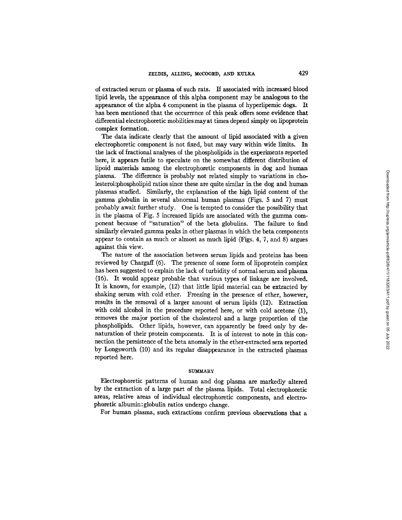of extracted serum or plasma of such rats. If associated with increased blood lipid levels, the appearance of this alpha component may be analogous to the appearance of the alpha 4 component in the plasma of hyperlipemic dogs. It has been mentioned that the occurrence of this peak offers some evidence that differential electrophoretic mobilitiesmayat times depend simply on lipoprotein complex formation.

The data indicate clearly that the amount of lipid associated with a given electrophoretic component is not fixed, but may vary within wide limits. In the lack of fractional analyses of the phospholipids in the experiments reported here, it appears futile to speculate on the somewhat different distribution of lipoid materials among the electrophoretic components in dog and human plasma. The difference is probably not related simply to variations in cholesterol: phospholipid ratios since these are quite similar in the dog and human plasmas studied. Similarly, the explanation of the high lipid content of the gamma globulin in several abnormal human plasmas (Figs. 5 and 7) must probably await further study. One is tempted to consider the possibility that in the plasma of Fig. 5 increased lipids are associated with the gamma component because of "saturation" of the beta globulins. The failure to find similarly elevated gamma peaks in other plasmas in which the beta components appear to contain as much or almost as much lipid (Figs. 4, 7, and 8) argues against this view.

The nature of the association between serum lipids and proteins has been reviewed by Chargaff (6). The presence of some form of lipoprotein complex has been suggested to explain the lack of turbidity of normal serum and plasma (16). It would appear probable that various types of linkage are involved. It is known, for example, (12) that little lipid material can be extracted by shaking serum with cold ether. Freezing in the presence of ether, however, results in the removal of a larger amount of serum lipids (12). Extraction with cold alcohol in the procedure reported here, or with cold acetone (1), removes the major portion of the cholesterol and a large proportion of the phospholipids. Other lipids, however, can apparently be freed only by denaturation of their protein components. It is of interest to note in this connection the persistence of the beta anomaly in the ether-extracted sera reported by Longsworth (10) and its regular disappearance in the extracted plasmas reported here.

#### SUMMARY

Electrophoretic patterns of human and dog plasma are markedly altered by the extraction of a large part of the plasma lipids. Total electrophoretic areas, relative areas of individual electrophoretic components, and electrophoretic albumin:globulin ratios undergo change.

For human plasma, such extractions confirm previous observations that a